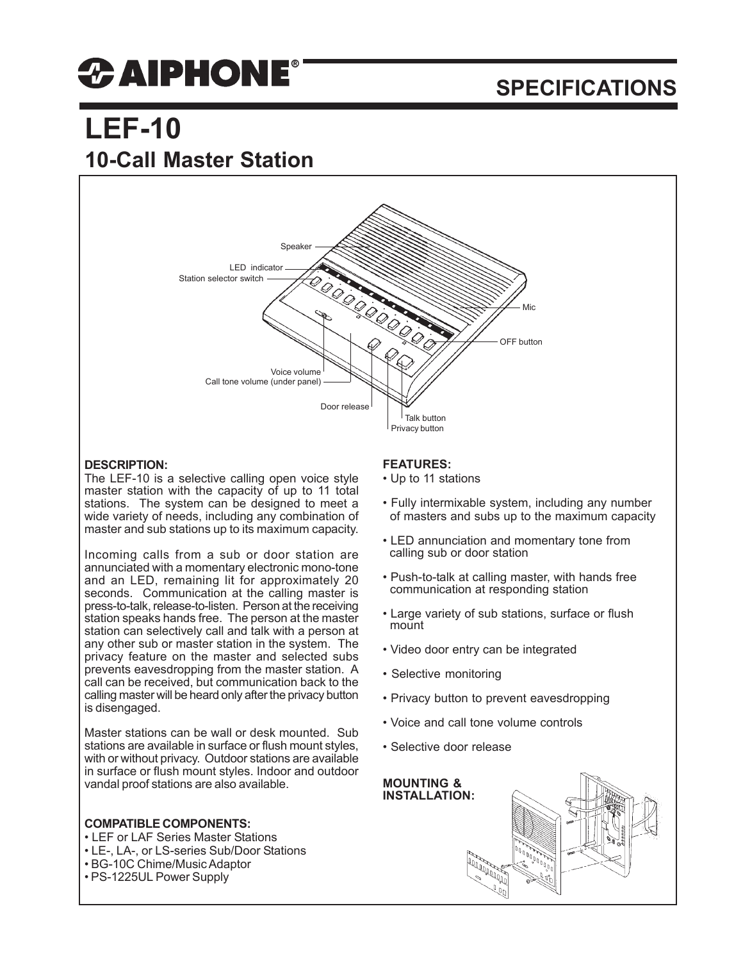# *CAIPHONE®*

### **SPECIFICATIONS**

## **LEF-10 10-Call Master Station**



#### **DESCRIPTION:**

The LEF-10 is a selective calling open voice style master station with the capacity of up to 11 total stations. The system can be designed to meet a wide variety of needs, including any combination of master and sub stations up to its maximum capacity.

Incoming calls from a sub or door station are annunciated with a momentary electronic mono-tone and an LED, remaining lit for approximately 20 seconds. Communication at the calling master is press-to-talk, release-to-listen. Person at the receiving station speaks hands free. The person at the master station can selectively call and talk with a person at any other sub or master station in the system. The privacy feature on the master and selected subs prevents eavesdropping from the master station. A call can be received, but communication back to the calling master will be heard only after the privacy button is disengaged.

Master stations can be wall or desk mounted. Sub stations are available in surface or flush mount styles, with or without privacy. Outdoor stations are available in surface or flush mount styles. Indoor and outdoor vandal proof stations are also available.

#### **COMPATIBLE COMPONENTS:**

- LEF or LAF Series Master Stations
- LE-, LA-, or LS-series Sub/Door Stations
- BG-10C Chime/Music Adaptor
- PS-1225UL Power Supply

#### **FEATURES:**

- Up to 11 stations
- Fully intermixable system, including any number of masters and subs up to the maximum capacity
- LED annunciation and momentary tone from calling sub or door station
- Push-to-talk at calling master, with hands free communication at responding station
- Large variety of sub stations, surface or flush mount
- Video door entry can be integrated
- Selective monitoring
- Privacy button to prevent eavesdropping
- Voice and call tone volume controls
- Selective door release

**MOUNTING & INSTALLATION:**